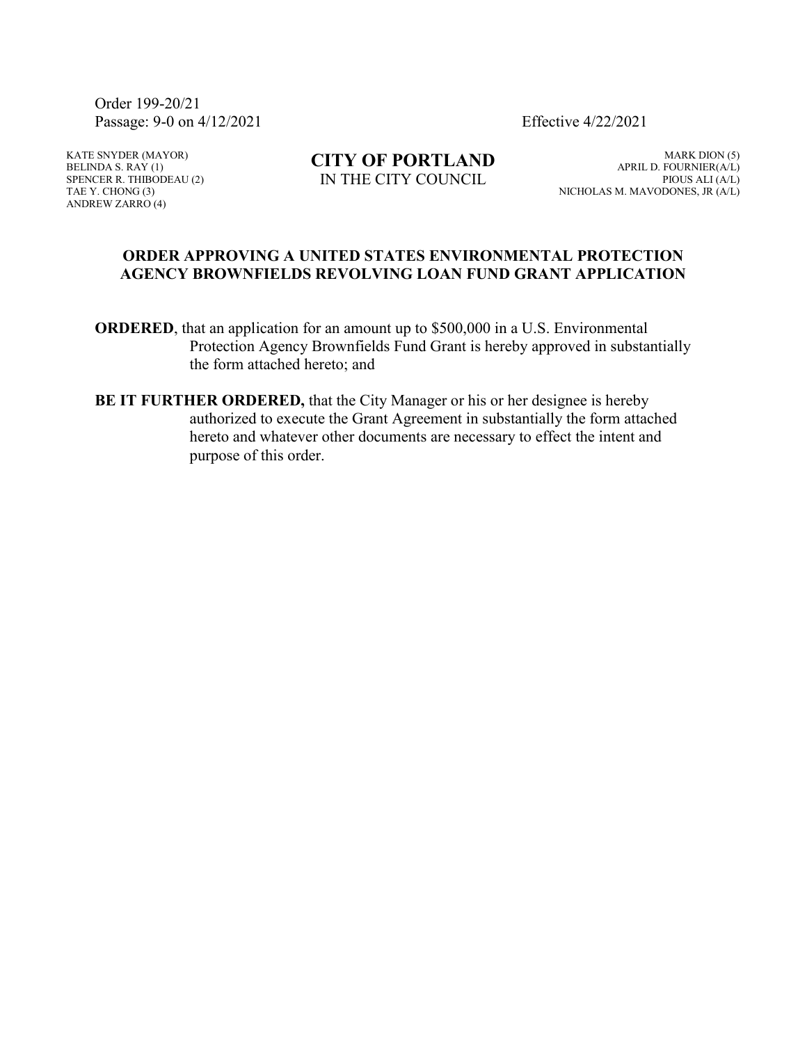Order 199-20/21 Passage: 9-0 on 4/12/2021 Effective 4/22/2021

KATE SNYDER (MAYOR) BELINDA S. RAY  $(1)$ SPENCER R. THIBODEAU (2) TAE Y. CHONG (3) ANDREW ZARRO (4)

**CITY OF PORTLAND** IN THE CITY COUNCIL

MARK DION (5) APRIL D. FOURNIER(A/L) PIOUS ALI (A/L) NICHOLAS M. MAVODONES, JR (A/L)

#### **ORDER APPROVING A UNITED STATES ENVIRONMENTAL PROTECTION AGENCY BROWNFIELDS REVOLVING LOAN FUND GRANT APPLICATION**

**ORDERED**, that an application for an amount up to \$500,000 in a U.S. Environmental Protection Agency Brownfields Fund Grant is hereby approved in substantially the form attached hereto; and

**BE IT FURTHER ORDERED,** that the City Manager or his or her designee is hereby authorized to execute the Grant Agreement in substantially the form attached hereto and whatever other documents are necessary to effect the intent and purpose of this order.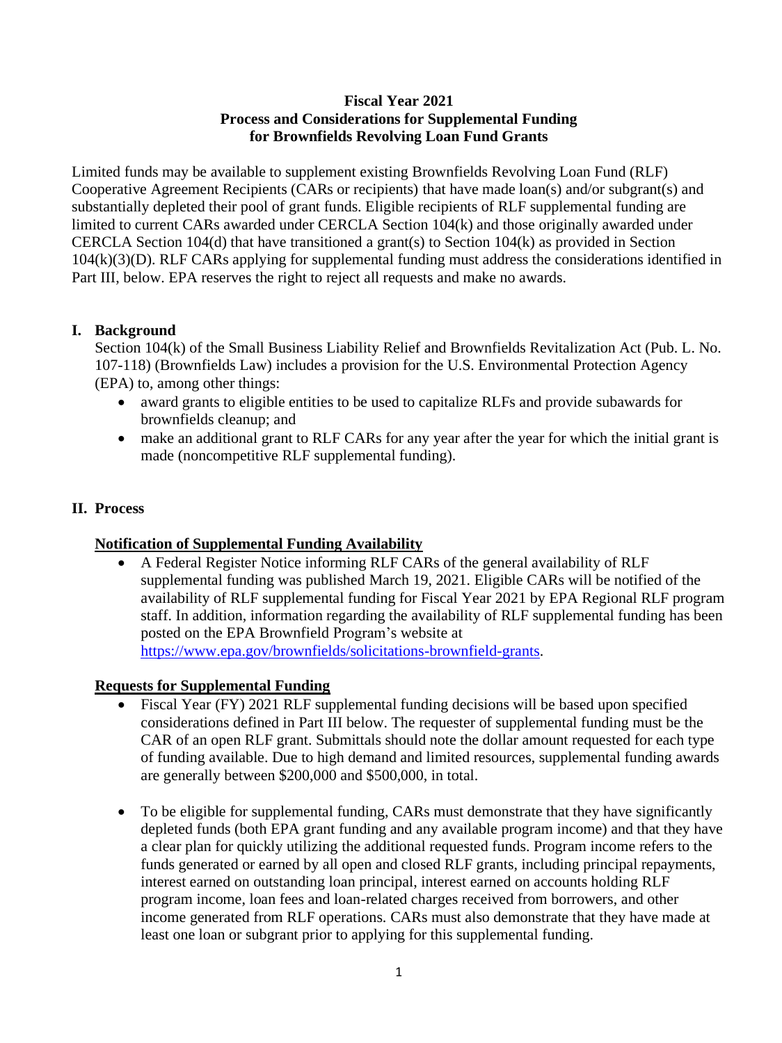# **Fiscal Year 2021 Process and Considerations for Supplemental Funding for Brownfields Revolving Loan Fund Grants**

Limited funds may be available to supplement existing Brownfields Revolving Loan Fund (RLF) Cooperative Agreement Recipients (CARs or recipients) that have made loan(s) and/or subgrant(s) and substantially depleted their pool of grant funds. Eligible recipients of RLF supplemental funding are limited to current CARs awarded under CERCLA Section 104(k) and those originally awarded under CERCLA Section 104(d) that have transitioned a grant(s) to Section 104(k) as provided in Section 104(k)(3)(D). RLF CARs applying for supplemental funding must address the considerations identified in Part III, below. EPA reserves the right to reject all requests and make no awards.

## **I. Background**

Section 104(k) of the Small Business Liability Relief and Brownfields Revitalization Act (Pub. L. No. 107-118) (Brownfields Law) includes a provision for the U.S. Environmental Protection Agency (EPA) to, among other things:

- award grants to eligible entities to be used to capitalize RLFs and provide subawards for brownfields cleanup; and
- make an additional grant to RLF CARs for any year after the year for which the initial grant is made (noncompetitive RLF supplemental funding).

#### **II. Process**

#### **Notification of Supplemental Funding Availability**

• A Federal Register Notice informing RLF CARs of the general availability of RLF supplemental funding was published March 19, 2021. Eligible CARs will be notified of the availability of RLF supplemental funding for Fiscal Year 2021 by EPA Regional RLF program staff. In addition, information regarding the availability of RLF supplemental funding has been posted on the EPA Brownfield Program's website at [https://www.epa.gov/brownfields/solicitations-brownfield-grants.](https://www.epa.gov/brownfields/solicitations-brownfield-grants)

#### **Requests for Supplemental Funding**

- Fiscal Year (FY) 2021 RLF supplemental funding decisions will be based upon specified considerations defined in Part III below. The requester of supplemental funding must be the CAR of an open RLF grant. Submittals should note the dollar amount requested for each type of funding available. Due to high demand and limited resources, supplemental funding awards are generally between \$200,000 and \$500,000, in total.
- To be eligible for supplemental funding, CARs must demonstrate that they have significantly depleted funds (both EPA grant funding and any available program income) and that they have a clear plan for quickly utilizing the additional requested funds. Program income refers to the funds generated or earned by all open and closed RLF grants, including principal repayments, interest earned on outstanding loan principal, interest earned on accounts holding RLF program income, loan fees and loan-related charges received from borrowers, and other income generated from RLF operations. CARs must also demonstrate that they have made at least one loan or subgrant prior to applying for this supplemental funding.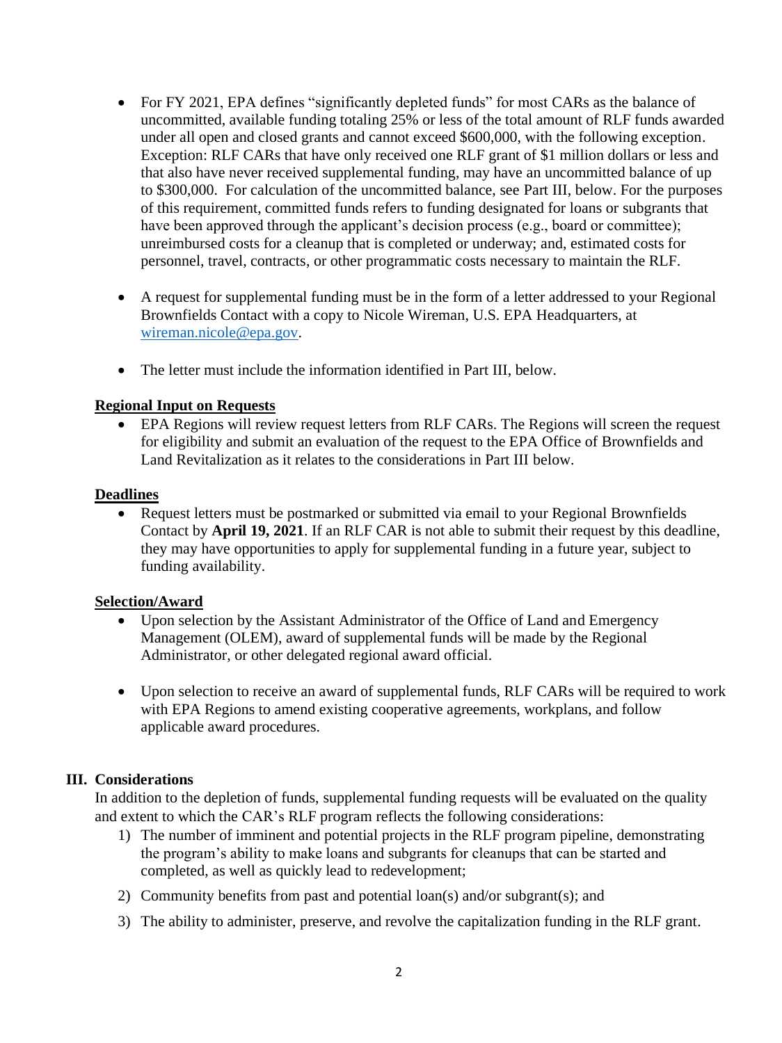- For FY 2021, EPA defines "significantly depleted funds" for most CARs as the balance of uncommitted, available funding totaling 25% or less of the total amount of RLF funds awarded under all open and closed grants and cannot exceed \$600,000, with the following exception. Exception: RLF CARs that have only received one RLF grant of \$1 million dollars or less and that also have never received supplemental funding, may have an uncommitted balance of up to \$300,000. For calculation of the uncommitted balance, see Part III, below. For the purposes of this requirement, committed funds refers to funding designated for loans or subgrants that have been approved through the applicant's decision process (e.g., board or committee); unreimbursed costs for a cleanup that is completed or underway; and, estimated costs for personnel, travel, contracts, or other programmatic costs necessary to maintain the RLF.
- A request for supplemental funding must be in the form of a letter addressed to your Regional Brownfields Contact with a copy to Nicole Wireman, U.S. EPA Headquarters, at [wireman.nicole@epa.gov.](mailto:wireman.nicole@epa.gov)
- The letter must include the information identified in Part III, below.

# **Regional Input on Requests**

• EPA Regions will review request letters from RLF CARs. The Regions will screen the request for eligibility and submit an evaluation of the request to the EPA Office of Brownfields and Land Revitalization as it relates to the considerations in Part III below.

## **Deadlines**

• Request letters must be postmarked or submitted via email to your Regional Brownfields Contact by **April 19, 2021**. If an RLF CAR is not able to submit their request by this deadline, they may have opportunities to apply for supplemental funding in a future year, subject to funding availability.

## **Selection/Award**

- Upon selection by the Assistant Administrator of the Office of Land and Emergency Management (OLEM), award of supplemental funds will be made by the Regional Administrator, or other delegated regional award official.
- Upon selection to receive an award of supplemental funds, RLF CARs will be required to work with EPA Regions to amend existing cooperative agreements, workplans, and follow applicable award procedures.

# **III. Considerations**

In addition to the depletion of funds, supplemental funding requests will be evaluated on the quality and extent to which the CAR's RLF program reflects the following considerations:

- 1) The number of imminent and potential projects in the RLF program pipeline, demonstrating the program's ability to make loans and subgrants for cleanups that can be started and completed, as well as quickly lead to redevelopment;
- 2) Community benefits from past and potential loan(s) and/or subgrant(s); and
- 3) The ability to administer, preserve, and revolve the capitalization funding in the RLF grant.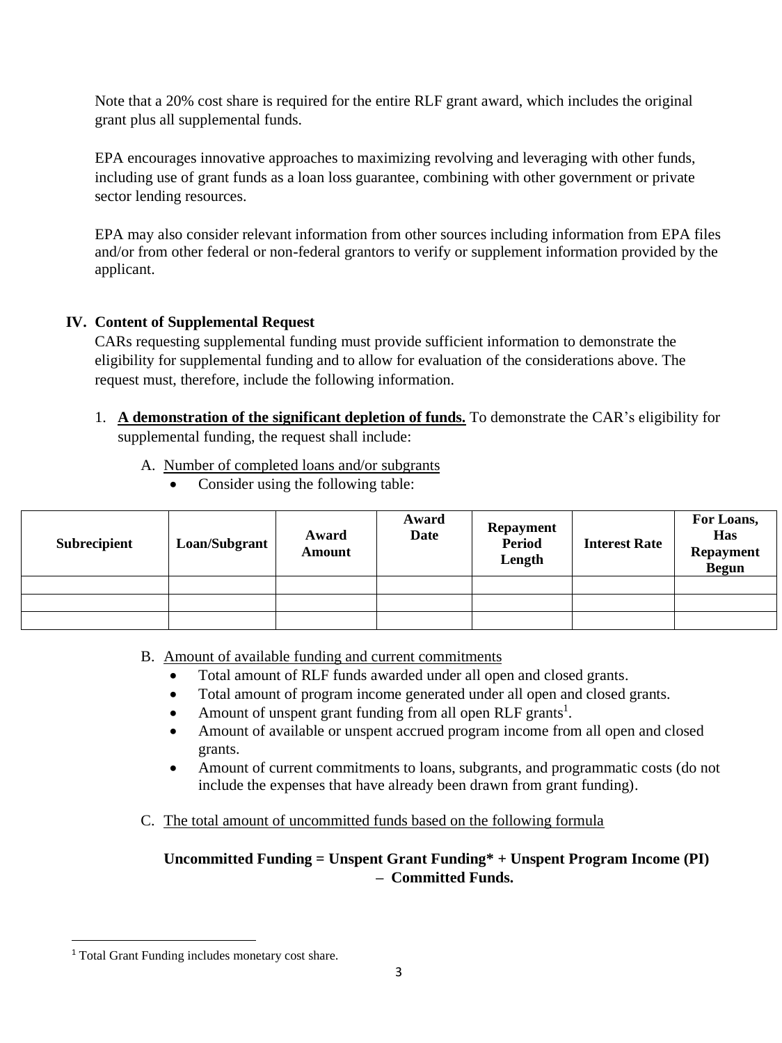Note that a 20% cost share is required for the entire RLF grant award, which includes the original grant plus all supplemental funds.

EPA encourages innovative approaches to maximizing revolving and leveraging with other funds, including use of grant funds as a loan loss guarantee, combining with other government or private sector lending resources.

EPA may also consider relevant information from other sources including information from EPA files and/or from other federal or non-federal grantors to verify or supplement information provided by the applicant.

# **IV. Content of Supplemental Request**

CARs requesting supplemental funding must provide sufficient information to demonstrate the eligibility for supplemental funding and to allow for evaluation of the considerations above. The request must, therefore, include the following information.

- 1. **A demonstration of the significant depletion of funds.** To demonstrate the CAR's eligibility for supplemental funding, the request shall include:
	- A. Number of completed loans and/or subgrants
		- Consider using the following table:

| <b>Subrecipient</b> | Loan/Subgrant | Award<br>Amount | Award<br><b>Date</b> | <b>Repayment</b><br><b>Period</b><br>Length | <b>Interest Rate</b> | For Loans,<br>Has<br><b>Repayment</b><br><b>Begun</b> |
|---------------------|---------------|-----------------|----------------------|---------------------------------------------|----------------------|-------------------------------------------------------|
|                     |               |                 |                      |                                             |                      |                                                       |
|                     |               |                 |                      |                                             |                      |                                                       |
|                     |               |                 |                      |                                             |                      |                                                       |

- B. Amount of available funding and current commitments
	- Total amount of RLF funds awarded under all open and closed grants.
	- Total amount of program income generated under all open and closed grants.
	- Amount of unspent grant funding from all open RLF grants<sup>1</sup>.
	- Amount of available or unspent accrued program income from all open and closed grants.
	- Amount of current commitments to loans, subgrants, and programmatic costs (do not include the expenses that have already been drawn from grant funding).
- C. The total amount of uncommitted funds based on the following formula

# **Uncommitted Funding = Unspent Grant Funding\* + Unspent Program Income (PI) – Committed Funds.**

<sup>&</sup>lt;sup>1</sup> Total Grant Funding includes monetary cost share.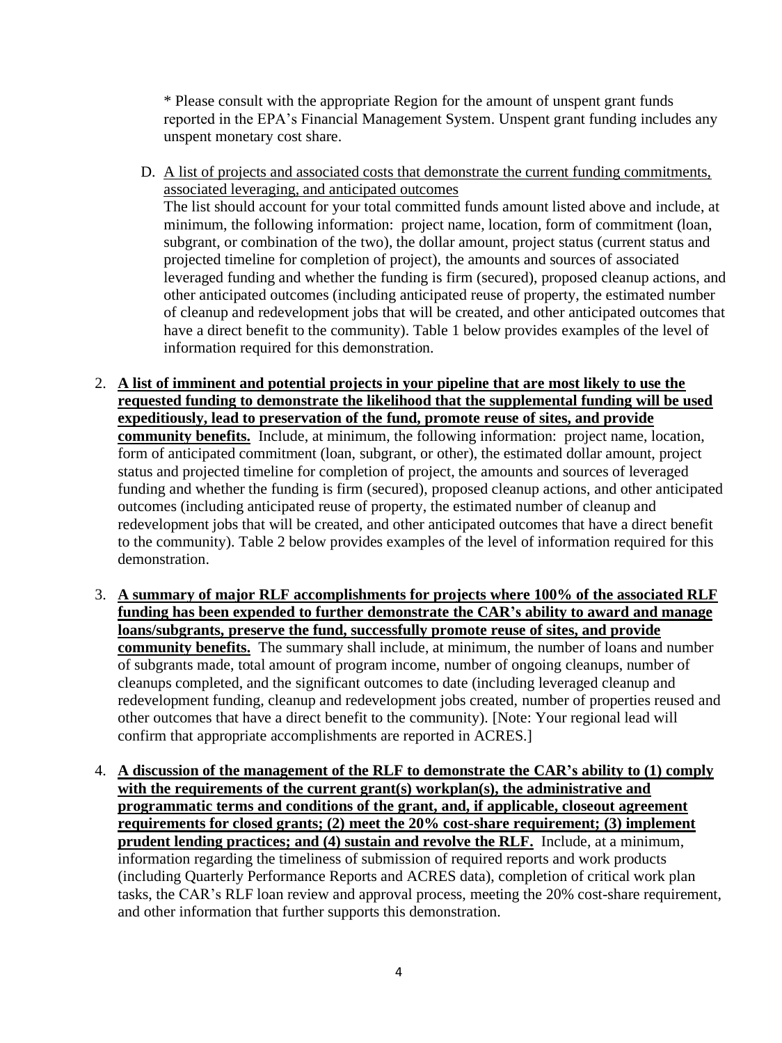\* Please consult with the appropriate Region for the amount of unspent grant funds reported in the EPA's Financial Management System. Unspent grant funding includes any unspent monetary cost share.

- D. A list of projects and associated costs that demonstrate the current funding commitments, associated leveraging, and anticipated outcomes The list should account for your total committed funds amount listed above and include, at minimum, the following information: project name, location, form of commitment (loan, subgrant, or combination of the two), the dollar amount, project status (current status and projected timeline for completion of project), the amounts and sources of associated leveraged funding and whether the funding is firm (secured), proposed cleanup actions, and other anticipated outcomes (including anticipated reuse of property, the estimated number of cleanup and redevelopment jobs that will be created, and other anticipated outcomes that have a direct benefit to the community). Table 1 below provides examples of the level of information required for this demonstration.
- 2. **A list of imminent and potential projects in your pipeline that are most likely to use the requested funding to demonstrate the likelihood that the supplemental funding will be used expeditiously, lead to preservation of the fund, promote reuse of sites, and provide community benefits.** Include, at minimum, the following information: project name, location, form of anticipated commitment (loan, subgrant, or other), the estimated dollar amount, project status and projected timeline for completion of project, the amounts and sources of leveraged funding and whether the funding is firm (secured), proposed cleanup actions, and other anticipated outcomes (including anticipated reuse of property, the estimated number of cleanup and redevelopment jobs that will be created, and other anticipated outcomes that have a direct benefit to the community). Table 2 below provides examples of the level of information required for this demonstration.
- 3. **A summary of major RLF accomplishments for projects where 100% of the associated RLF funding has been expended to further demonstrate the CAR's ability to award and manage loans/subgrants, preserve the fund, successfully promote reuse of sites, and provide community benefits.** The summary shall include, at minimum, the number of loans and number of subgrants made, total amount of program income, number of ongoing cleanups, number of cleanups completed, and the significant outcomes to date (including leveraged cleanup and redevelopment funding, cleanup and redevelopment jobs created, number of properties reused and other outcomes that have a direct benefit to the community). [Note: Your regional lead will confirm that appropriate accomplishments are reported in ACRES.]
- 4. **A discussion of the management of the RLF to demonstrate the CAR's ability to (1) comply**  with the requirements of the current grant(s) workplan(s), the administrative and **programmatic terms and conditions of the grant, and, if applicable, closeout agreement requirements for closed grants; (2) meet the 20% cost-share requirement; (3) implement prudent lending practices; and (4) sustain and revolve the RLF.** Include, at a minimum, information regarding the timeliness of submission of required reports and work products (including Quarterly Performance Reports and ACRES data), completion of critical work plan tasks, the CAR's RLF loan review and approval process, meeting the 20% cost-share requirement, and other information that further supports this demonstration.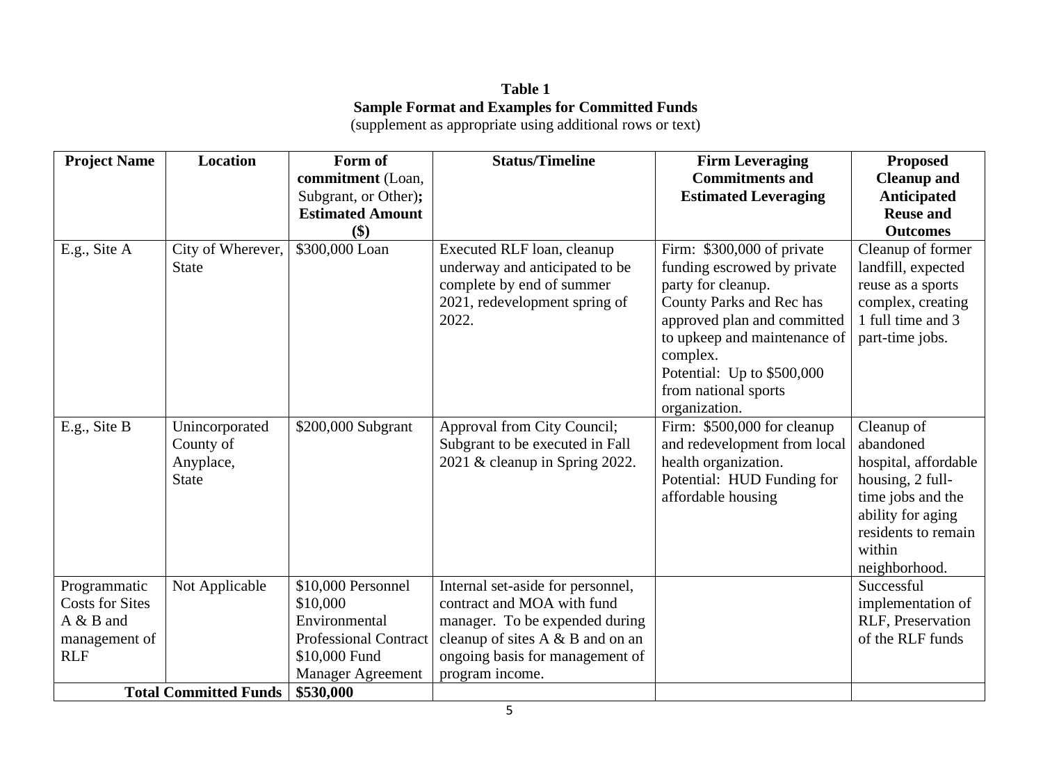# **Table 1 Sample Format and Examples for Committed Funds**

(supplement as appropriate using additional rows or text)

| <b>Project Name</b>                                                                | <b>Location</b>                                          | Form of                                                                                                               | <b>Status/Timeline</b>                                                                                                                                                                      | <b>Firm Leveraging</b>                                                                                                                                                                 | <b>Proposed</b>                                                                                                                                                 |
|------------------------------------------------------------------------------------|----------------------------------------------------------|-----------------------------------------------------------------------------------------------------------------------|---------------------------------------------------------------------------------------------------------------------------------------------------------------------------------------------|----------------------------------------------------------------------------------------------------------------------------------------------------------------------------------------|-----------------------------------------------------------------------------------------------------------------------------------------------------------------|
|                                                                                    |                                                          | commitment (Loan,                                                                                                     |                                                                                                                                                                                             | <b>Commitments and</b>                                                                                                                                                                 | <b>Cleanup and</b>                                                                                                                                              |
|                                                                                    |                                                          | Subgrant, or Other);                                                                                                  |                                                                                                                                                                                             | <b>Estimated Leveraging</b>                                                                                                                                                            | <b>Anticipated</b>                                                                                                                                              |
|                                                                                    |                                                          | <b>Estimated Amount</b>                                                                                               |                                                                                                                                                                                             |                                                                                                                                                                                        | <b>Reuse and</b>                                                                                                                                                |
|                                                                                    |                                                          | \$)                                                                                                                   |                                                                                                                                                                                             |                                                                                                                                                                                        | <b>Outcomes</b>                                                                                                                                                 |
| E.g., Site A                                                                       | City of Wherever,<br><b>State</b>                        | \$300,000 Loan                                                                                                        | Executed RLF loan, cleanup<br>underway and anticipated to be<br>complete by end of summer<br>2021, redevelopment spring of<br>2022.                                                         | Firm: \$300,000 of private<br>funding escrowed by private<br>party for cleanup.<br>County Parks and Rec has<br>approved plan and committed<br>to upkeep and maintenance of<br>complex. | Cleanup of former<br>landfill, expected<br>reuse as a sports<br>complex, creating<br>1 full time and 3<br>part-time jobs.                                       |
|                                                                                    |                                                          |                                                                                                                       |                                                                                                                                                                                             | Potential: Up to \$500,000<br>from national sports<br>organization.                                                                                                                    |                                                                                                                                                                 |
| E.g., Site B                                                                       | Unincorporated<br>County of<br>Anyplace,<br><b>State</b> | \$200,000 Subgrant                                                                                                    | Approval from City Council;<br>Subgrant to be executed in Fall<br>2021 & cleanup in Spring 2022.                                                                                            | Firm: \$500,000 for cleanup<br>and redevelopment from local<br>health organization.<br>Potential: HUD Funding for<br>affordable housing                                                | Cleanup of<br>abandoned<br>hospital, affordable<br>housing, 2 full-<br>time jobs and the<br>ability for aging<br>residents to remain<br>within<br>neighborhood. |
| Programmatic<br><b>Costs for Sites</b><br>A & B and<br>management of<br><b>RLF</b> | Not Applicable                                           | \$10,000 Personnel<br>\$10,000<br>Environmental<br><b>Professional Contract</b><br>\$10,000 Fund<br>Manager Agreement | Internal set-aside for personnel,<br>contract and MOA with fund<br>manager. To be expended during<br>cleanup of sites A & B and on an<br>ongoing basis for management of<br>program income. |                                                                                                                                                                                        | Successful<br>implementation of<br>RLF, Preservation<br>of the RLF funds                                                                                        |
| <b>Total Committed Funds</b>                                                       |                                                          | \$530,000                                                                                                             |                                                                                                                                                                                             |                                                                                                                                                                                        |                                                                                                                                                                 |